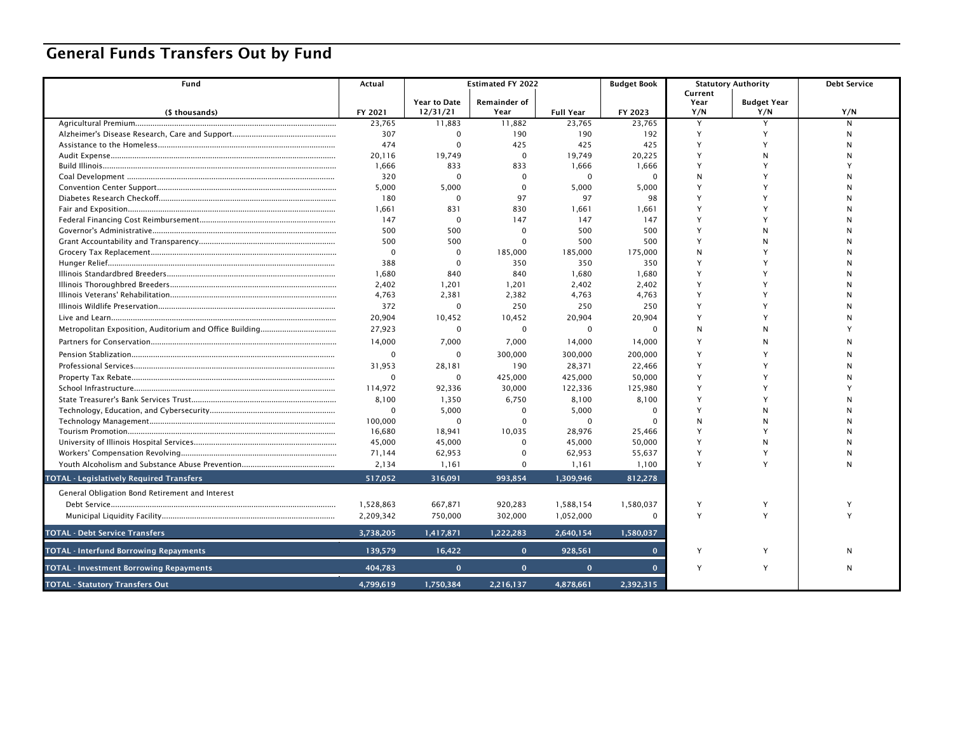## General Funds Transfers Out by Fund

| Fund                                            | Actual            | <b>Estimated FY 2022</b>        |                             | <b>Budget Book</b>         |                   | <b>Statutory Authority</b> | <b>Debt Service</b>       |              |
|-------------------------------------------------|-------------------|---------------------------------|-----------------------------|----------------------------|-------------------|----------------------------|---------------------------|--------------|
|                                                 |                   |                                 |                             |                            |                   | Current                    |                           |              |
|                                                 |                   | <b>Year to Date</b><br>12/31/21 | <b>Remainder of</b><br>Year |                            |                   | Year<br>Y/N                | <b>Budget Year</b><br>Y/N | Y/N          |
| (\$ thousands)<br>Agricultural Premium          | FY 2021<br>23,765 | 11,883                          | 11,882                      | <b>Full Year</b><br>23,765 | FY 2023<br>23,765 | Y                          |                           | N            |
|                                                 | 307               | $\Omega$                        | 190                         | 190                        | 192               | Y                          |                           | N            |
|                                                 | 474               | $\Omega$                        | 425                         | 425                        | 425               | Y                          |                           |              |
|                                                 | 20,116            | 19.749                          | $\Omega$                    | 19,749                     | 20,225            | Y                          | N                         |              |
|                                                 | 1,666             | 833                             | 833                         | 1,666                      | 1,666             | Y                          |                           |              |
|                                                 | 320               | $\Omega$                        | $\Omega$                    | $\mathbf 0$                | $\Omega$          | N                          |                           |              |
|                                                 | 5,000             | 5,000                           | $\Omega$                    | 5,000                      | 5,000             | Y                          |                           |              |
|                                                 | 180               | $\Omega$                        | 97                          | 97                         | 98                | Y                          |                           |              |
|                                                 | 1,661             | 831                             | 830                         | 1,661                      | 1,661             | Y                          |                           |              |
|                                                 | 147               | $\Omega$                        | 147                         | 147                        | 147               | Y                          |                           |              |
|                                                 | 500               | 500                             | $\Omega$                    | 500                        | 500               | Y                          | N                         |              |
|                                                 | 500               | 500                             | $\Omega$                    | 500                        | 500               | Y                          |                           |              |
|                                                 | $\mathbf 0$       | $\Omega$                        | 185,000                     | 185,000                    | 175,000           | N                          |                           |              |
|                                                 | 388               | $\Omega$                        | 350                         | 350                        | 350               | Y                          |                           |              |
|                                                 | 1.680             | 840                             | 840                         | 1.680                      | 1,680             | Y                          |                           |              |
|                                                 | 2.402             | 1,201                           | 1,201                       | 2,402                      | 2,402             | Y                          |                           |              |
|                                                 | 4,763             | 2,381                           | 2,382                       | 4,763                      | 4,763             | Y                          |                           |              |
|                                                 | 372               | $\Omega$                        | 250                         | 250                        | 250               | Y                          |                           |              |
|                                                 | 20,904            | 10,452                          | 10,452                      | 20,904                     | 20,904            | Y                          |                           |              |
|                                                 | 27,923            | $\mathbf 0$                     | $\Omega$                    | $\mathbf 0$                | $\Omega$          | N                          |                           |              |
|                                                 | 14,000            | 7,000                           | 7,000                       | 14,000                     | 14,000            | Y                          |                           |              |
|                                                 | $\mathbf 0$       | $\Omega$                        | 300,000                     | 300,000                    | 200,000           | Y                          |                           |              |
|                                                 | 31,953            | 28,181                          | 190                         | 28,371                     | 22,466            | Y                          |                           |              |
|                                                 | $\mathbf 0$       | $\Omega$                        | 425,000                     | 425,000                    | 50,000            | Y                          |                           |              |
|                                                 | 114,972           | 92,336                          | 30,000                      | 122,336                    | 125,980           | Y                          |                           |              |
|                                                 | 8,100             | 1,350                           | 6,750                       | 8,100                      | 8,100             | Y                          |                           |              |
|                                                 | $\mathbf 0$       | 5,000                           | $\Omega$                    | 5,000                      | $\Omega$          | $\mathsf{v}$               | N                         |              |
|                                                 | 100,000           | $\Omega$                        | $\Omega$                    | $\Omega$                   | 0                 | N                          |                           |              |
|                                                 | 16,680            | 18,941                          | 10.035                      | 28.976                     | 25,466            | Y                          |                           |              |
|                                                 | 45,000            | 45,000                          | $\Omega$                    | 45,000                     | 50,000            | Y                          | N                         |              |
|                                                 | 71,144            | 62,953                          | $\Omega$                    | 62,953                     | 55,637            | Y                          |                           | N            |
|                                                 | 2,134             | 1,161                           | $\Omega$                    | 1,161                      | 1,100             | Y                          |                           | N            |
| <b>TOTAL - Legislatively Required Transfers</b> | 517,052           | 316.091                         | 993.854                     | 1.309.946                  | 812,278           |                            |                           |              |
| General Obligation Bond Retirement and Interest |                   |                                 |                             |                            |                   |                            |                           |              |
|                                                 | 1,528,863         | 667,871                         | 920,283                     | 1,588,154                  | 1,580,037         | Y                          | Y                         |              |
|                                                 | 2,209,342         | 750,000                         | 302,000                     | 1,052,000                  | 0                 | Y                          | Y                         |              |
| <b>TOTAL - Debt Service Transfers</b>           | 3,738,205         | 1,417,871                       | 1,222,283                   | 2,640,154                  | 1,580,037         |                            |                           |              |
| <b>TOTAL - Interfund Borrowing Repayments</b>   | 139,579           | 16,422                          | $\Omega$                    | 928,561                    |                   | Y                          | Y                         | N            |
| <b>TOTAL - Investment Borrowing Repayments</b>  | 404,783           | $\mathbf{o}$                    | $\mathbf{0}$                | $\mathbf{0}$               | $\mathbf{0}$      | Y                          | Y                         | $\mathsf{N}$ |
| <b>TOTAL - Statutory Transfers Out</b>          | 4,799,619         | 1,750,384                       | 2,216,137                   | 4,878,661                  | 2,392,315         |                            |                           |              |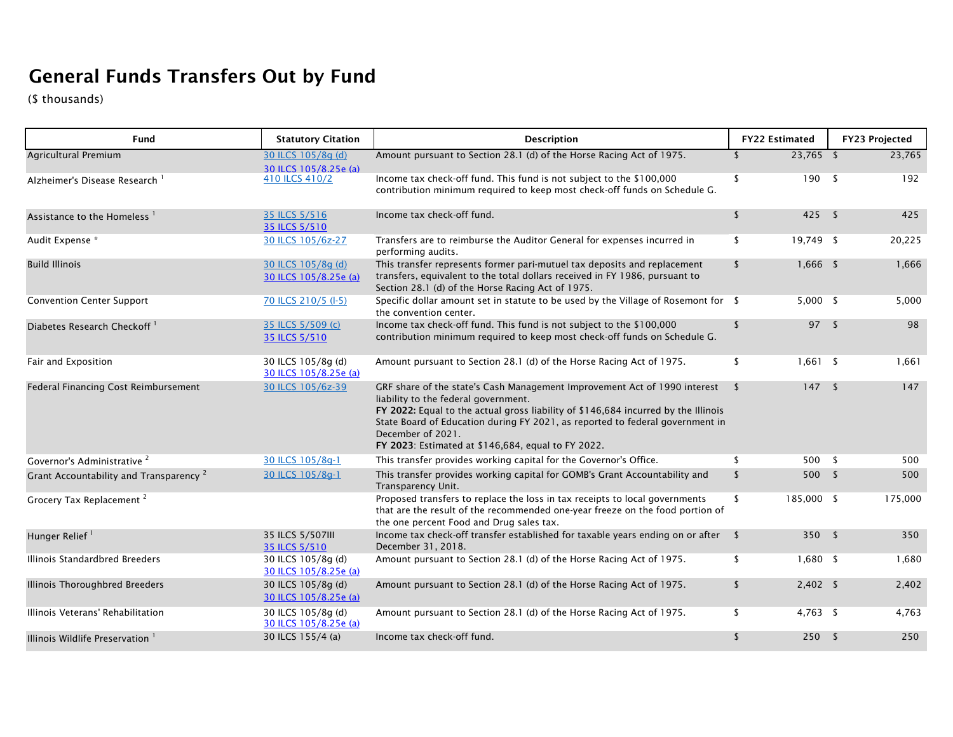## General Funds Transfers Out by Fund

(\$ thousands)

| Fund                                               | <b>Statutory Citation</b>                   | <b>Description</b>                                                                                                                                                                                                                                                                                                                                                  | <b>FY22 Estimated</b> |            |              | <b>FY23 Projected</b> |
|----------------------------------------------------|---------------------------------------------|---------------------------------------------------------------------------------------------------------------------------------------------------------------------------------------------------------------------------------------------------------------------------------------------------------------------------------------------------------------------|-----------------------|------------|--------------|-----------------------|
| Agricultural Premium                               | 30 ILCS 105/8q (d)<br>30 ILCS 105/8.25e (a) | Amount pursuant to Section 28.1 (d) of the Horse Racing Act of 1975.                                                                                                                                                                                                                                                                                                | <sup>\$</sup>         | 23,765 \$  |              | 23,765                |
| Alzheimer's Disease Research 1                     | 410 ILCS 410/2                              | Income tax check-off fund. This fund is not subject to the \$100,000<br>contribution minimum required to keep most check-off funds on Schedule G.                                                                                                                                                                                                                   | s.                    | 190        | - \$         | 192                   |
| Assistance to the Homeless <sup>1</sup>            | 35 ILCS 5/516<br>35 ILCS 5/510              | Income tax check-off fund.                                                                                                                                                                                                                                                                                                                                          | $\sqrt{2}$            | $425$ \$   |              | 425                   |
| Audit Expense *                                    | 30 ILCS 105/6z-27                           | Transfers are to reimburse the Auditor General for expenses incurred in<br>performing audits.                                                                                                                                                                                                                                                                       | \$                    | 19,749 \$  |              | 20,225                |
| <b>Build Illinois</b>                              | 30 ILCS 105/8q (d)<br>30 ILCS 105/8.25e (a) | This transfer represents former pari-mutuel tax deposits and replacement<br>transfers, equivalent to the total dollars received in FY 1986, pursuant to<br>Section 28.1 (d) of the Horse Racing Act of 1975.                                                                                                                                                        | \$                    | $1,666$ \$ |              | 1,666                 |
| <b>Convention Center Support</b>                   | 70 ILCS 210/5 (I-5)                         | Specific dollar amount set in statute to be used by the Village of Rosemont for \$<br>the convention center.                                                                                                                                                                                                                                                        |                       | $5,000$ \$ |              | 5,000                 |
| Diabetes Research Checkoff <sup>1</sup>            | 35 ILCS 5/509 (c)<br>35 ILCS 5/510          | Income tax check-off fund. This fund is not subject to the \$100,000<br>contribution minimum required to keep most check-off funds on Schedule G.                                                                                                                                                                                                                   | \$                    | 97S        |              | 98                    |
| Fair and Exposition                                | 30 ILCS 105/8q (d)<br>30 ILCS 105/8.25e (a) | Amount pursuant to Section 28.1 (d) of the Horse Racing Act of 1975.                                                                                                                                                                                                                                                                                                | \$                    | $1,661$ \$ |              | 1,661                 |
| Federal Financing Cost Reimbursement               | 30 ILCS 105/6z-39                           | GRF share of the state's Cash Management Improvement Act of 1990 interest<br>liability to the federal government.<br>FY 2022: Equal to the actual gross liability of \$146,684 incurred by the Illinois<br>State Board of Education during FY 2021, as reported to federal government in<br>December of 2021.<br>FY 2023: Estimated at \$146,684, equal to FY 2022. | -\$                   | 147S       |              | 147                   |
| Governor's Administrative <sup>2</sup>             | 30 ILCS 105/8q-1                            | This transfer provides working capital for the Governor's Office.                                                                                                                                                                                                                                                                                                   | \$                    | 500        | - \$         | 500                   |
| Grant Accountability and Transparency <sup>2</sup> | 30 ILCS 105/8q-1                            | This transfer provides working capital for GOMB's Grant Accountability and<br>Transparency Unit.                                                                                                                                                                                                                                                                    | \$                    | 500        | $\mathsf{s}$ | 500                   |
| Grocery Tax Replacement <sup>2</sup>               |                                             | Proposed transfers to replace the loss in tax receipts to local governments<br>that are the result of the recommended one-year freeze on the food portion of<br>the one percent Food and Drug sales tax.                                                                                                                                                            | 185,000 \$<br>\$      |            |              | 175,000               |
| Hunger Relief <sup>1</sup>                         | 35 ILCS 5/507III<br>35 ILCS 5/510           | Income tax check-off transfer established for taxable years ending on or after \$<br>December 31, 2018.                                                                                                                                                                                                                                                             |                       | 350S       |              | 350                   |
| Illinois Standardbred Breeders                     | 30 ILCS 105/8g (d)<br>30 ILCS 105/8.25e (a) | Amount pursuant to Section 28.1 (d) of the Horse Racing Act of 1975.                                                                                                                                                                                                                                                                                                | \$                    | $1,680$ \$ |              | 1,680                 |
| Illinois Thoroughbred Breeders                     | 30 ILCS 105/8g (d)<br>30 ILCS 105/8.25e (a) | Amount pursuant to Section 28.1 (d) of the Horse Racing Act of 1975.                                                                                                                                                                                                                                                                                                | \$                    | $2,402$ \$ |              | 2,402                 |
| Illinois Veterans' Rehabilitation                  | 30 ILCS 105/8q (d)<br>30 ILCS 105/8.25e (a) | Amount pursuant to Section 28.1 (d) of the Horse Racing Act of 1975.                                                                                                                                                                                                                                                                                                | \$                    | 4,763 \$   |              | 4,763                 |
| Illinois Wildlife Preservation 1                   | 30 ILCS 155/4 (a)                           | Income tax check-off fund.                                                                                                                                                                                                                                                                                                                                          | \$                    | 250S       |              | 250                   |